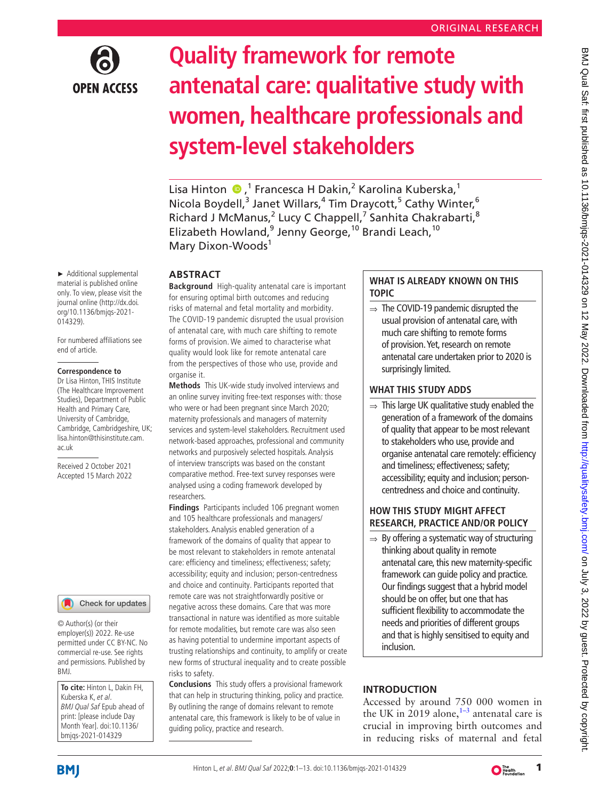

# **Quality framework for remote antenatal care: qualitative study with women, healthcare professionals and system-level stakeholders**

LisaHinton <sup>®</sup>,<sup>1</sup> Francesca H Dakin,<sup>2</sup> Karolina Kuberska,<sup>1</sup> Nicola Boydell,<sup>3</sup> Janet Willars,<sup>4</sup> Tim Draycott,<sup>5</sup> Cathy Winter,<sup>6</sup> Richard J McManus,<sup>2</sup> Lucy C Chappell,<sup>7</sup> Sanhita Chakrabarti,<sup>8</sup> Elizabeth Howland,<sup>9</sup> Jenny George,<sup>10</sup> Brandi Leach,<sup>10</sup> Mary Dixon-Woods<sup>1</sup>

# **ABSTRACT**

**Background** High-quality antenatal care is important for ensuring optimal birth outcomes and reducing risks of maternal and fetal mortality and morbidity. The COVID-19 pandemic disrupted the usual provision of antenatal care, with much care shifting to remote forms of provision. We aimed to characterise what quality would look like for remote antenatal care from the perspectives of those who use, provide and organise it.

**Methods** This UK-wide study involved interviews and an online survey inviting free-text responses with: those who were or had been pregnant since March 2020; maternity professionals and managers of maternity services and system-level stakeholders. Recruitment used network-based approaches, professional and community networks and purposively selected hospitals. Analysis of interview transcripts was based on the constant comparative method. Free-text survey responses were analysed using a coding framework developed by researchers.

**Findings** Participants included 106 pregnant women and 105 healthcare professionals and managers/ stakeholders. Analysis enabled generation of a framework of the domains of quality that appear to be most relevant to stakeholders in remote antenatal care: efficiency and timeliness; effectiveness; safety; accessibility; equity and inclusion; person-centredness and choice and continuity. Participants reported that remote care was not straightforwardly positive or negative across these domains. Care that was more transactional in nature was identified as more suitable for remote modalities, but remote care was also seen as having potential to undermine important aspects of trusting relationships and continuity, to amplify or create new forms of structural inequality and to create possible risks to safety.

**Conclusions** This study offers a provisional framework that can help in structuring thinking, policy and practice. By outlining the range of domains relevant to remote antenatal care, this framework is likely to be of value in guiding policy, practice and research.

# **WHAT IS ALREADY KNOWN ON THIS TOPIC**

 $\Rightarrow$  The COVID-19 pandemic disrupted the usual provision of antenatal care, with much care shifting to remote forms of provision. Yet, research on remote antenatal care undertaken prior to 2020 is surprisingly limited.

# **WHAT THIS STUDY ADDS**

 $\Rightarrow$  This large UK qualitative study enabled the generation of a framework of the domains of quality that appear to be most relevant to stakeholders who use, provide and organise antenatal care remotely: efficiency and timeliness; effectiveness; safety; accessibility; equity and inclusion; personcentredness and choice and continuity.

BMJ Qual Saf: first published as 10.1136/bmjqs-2021-014329 on 12 May 2022. Downloaded from http://qualitysafety.bmj.com/ on July 3, 2022 by guest. Protected by copyright BMJ Qual Sat: first published as 10.1136/bmjqs-2021-014329 on 12 May 2022. Downloaded from http://qualitysafety.pm/ Bmj.com/ On July 3, 2022 by guest. Protected by copyright.

# **HOW THIS STUDY MIGHT AFFECT RESEARCH, PRACTICE AND/OR POLICY**

 $\Rightarrow$  By offering a systematic way of structuring thinking about quality in remote antenatal care, this new maternity-specific framework can guide policy and practice. Our findings suggest that a hybrid model should be on offer, but one that has sufficient flexibility to accommodate the needs and priorities of different groups and that is highly sensitised to equity and inclusion.

# **INTRODUCTION**

Accessed by around 750 000 women in the UK in 2019 alone, $1-3$  antenatal care is crucial in improving birth outcomes and in reducing risks of maternal and fetal

► Additional supplemental material is published online only. To view, please visit the journal online ([http://dx.doi.](http://dx.doi.org/10.1136/bmjqs-2021-014329) [org/10.1136/bmjqs-2021-](http://dx.doi.org/10.1136/bmjqs-2021-014329) [014329](http://dx.doi.org/10.1136/bmjqs-2021-014329)).

For numbered affiliations see end of article.

#### **Correspondence to**

Dr Lisa Hinton, THIS Institute (The Healthcare Improvement Studies), Department of Public Health and Primary Care, University of Cambridge, Cambridge, Cambridgeshire, UK; lisa.hinton@thisinstitute.cam. ac.uk

Received 2 October 2021 Accepted 15 March 2022



© Author(s) (or their employer(s)) 2022. Re-use permitted under CC BY-NC. No commercial re-use. See rights and permissions. Published by BMJ.

**To cite:** Hinton L, Dakin FH, Kuberska K, et al. BMJ Qual Saf Epub ahead of print: [please include Day Month Year]. doi:10.1136/ bmjqs-2021-014329

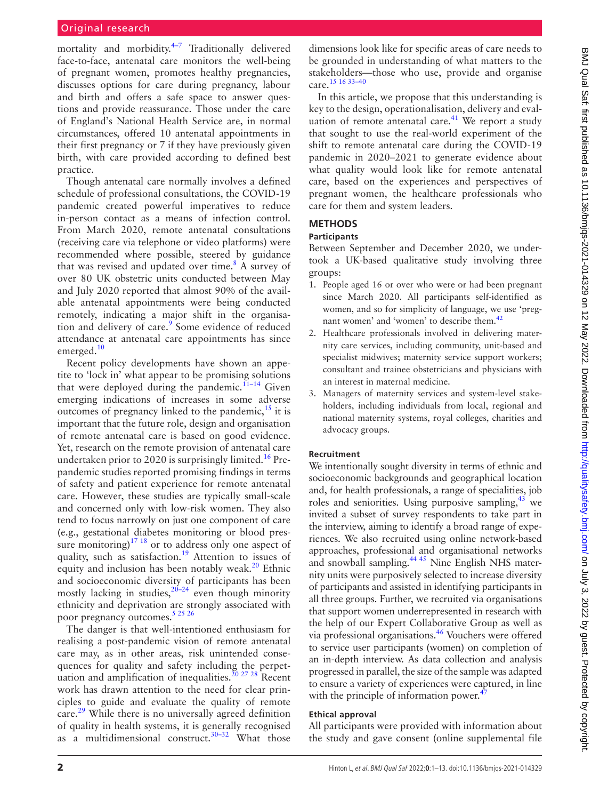#### Original research

mortality and morbidity. $4-7$  Traditionally delivered face-to-face, antenatal care monitors the well-being of pregnant women, promotes healthy pregnancies, discusses options for care during pregnancy, labour and birth and offers a safe space to answer questions and provide reassurance. Those under the care of England's National Health Service are, in normal circumstances, offered 10 antenatal appointments in their first pregnancy or 7 if they have previously given birth, with care provided according to defined best practice.

Though antenatal care normally involves a defined schedule of professional consultations, the COVID-19 pandemic created powerful imperatives to reduce in-person contact as a means of infection control. From March 2020, remote antenatal consultations (receiving care via telephone or video platforms) were recommended where possible, steered by guidance that was revised and updated over time. $8$  A survey of over 80 UK obstetric units conducted between May and July 2020 reported that almost 90% of the available antenatal appointments were being conducted remotely, indicating a major shift in the organisation and delivery of care.<sup>9</sup> Some evidence of reduced attendance at antenatal care appointments has since emerged.<sup>10</sup>

Recent policy developments have shown an appetite to 'lock in' what appear to be promising solutions that were deployed during the pandemic.<sup>11-14</sup> Given emerging indications of increases in some adverse outcomes of pregnancy linked to the pandemic, $^{15}$  it is important that the future role, design and organisation of remote antenatal care is based on good evidence. Yet, research on the remote provision of antenatal care undertaken prior to 2020 is surprisingly limited.<sup>[16](#page-11-1)</sup> Prepandemic studies reported promising findings in terms of safety and patient experience for remote antenatal care. However, these studies are typically small-scale and concerned only with low-risk women. They also tend to focus narrowly on just one component of care (e.g., gestational diabetes monitoring or blood pressure monitoring) $17 18$  or to address only one aspect of quality, such as satisfaction.<sup>19</sup> Attention to issues of equity and inclusion has been notably weak. $20$  Ethnic and socioeconomic diversity of participants has been mostly lacking in studies,  $20-24$  even though minority ethnicity and deprivation are strongly associated with poor pregnancy outcomes.<sup>[5 25 26](#page-10-6)</sup>

The danger is that well-intentioned enthusiasm for realising a post-pandemic vision of remote antenatal care may, as in other areas, risk unintended consequences for quality and safety including the perpet-uation and amplification of inequalities.<sup>[20 27 28](#page-11-4)</sup> Recent work has drawn attention to the need for clear principles to guide and evaluate the quality of remote care[.29](#page-11-5) While there is no universally agreed definition of quality in health systems, it is generally recognised as a multidimensional construct.<sup>[30–32](#page-11-6)</sup> What those

dimensions look like for specific areas of care needs to be grounded in understanding of what matters to the stakeholders—those who use, provide and organise care[.15 16 33–40](#page-11-0)

In this article, we propose that this understanding is key to the design, operationalisation, delivery and evaluation of remote antenatal care. $41$  We report a study that sought to use the real-world experiment of the shift to remote antenatal care during the COVID-19 pandemic in 2020–2021 to generate evidence about what quality would look like for remote antenatal care, based on the experiences and perspectives of pregnant women, the healthcare professionals who care for them and system leaders.

# **METHODS**

### **Participants**

Between September and December 2020, we undertook a UK-based qualitative study involving three groups:

- 1. People aged 16 or over who were or had been pregnant since March 2020. All participants self-identified as women, and so for simplicity of language, we use 'preg-nant women' and 'women' to describe them.<sup>[42](#page-11-8)</sup>
- 2. Healthcare professionals involved in delivering maternity care services, including community, unit-based and specialist midwives; maternity service support workers; consultant and trainee obstetricians and physicians with an interest in maternal medicine.
- 3. Managers of maternity services and system-level stakeholders, including individuals from local, regional and national maternity systems, royal colleges, charities and advocacy groups.

#### **Recruitment**

We intentionally sought diversity in terms of ethnic and socioeconomic backgrounds and geographical location and, for health professionals, a range of specialities, job roles and seniorities. Using purposive sampling,  $43$  we invited a subset of survey respondents to take part in the interview, aiming to identify a broad range of experiences. We also recruited using online network-based approaches, professional and organisational networks and snowball sampling.<sup>44 45</sup> Nine English NHS maternity units were purposively selected to increase diversity of participants and assisted in identifying participants in all three groups. Further, we recruited via organisations that support women underrepresented in research with the help of our Expert Collaborative Group as well as via professional organisations.<sup>46</sup> Vouchers were offered to service user participants (women) on completion of an in-depth interview. As data collection and analysis progressed in parallel, the size of the sample was adapted to ensure a variety of experiences were captured, in line with the principle of information power. $47$ 

#### **Ethical approval**

All participants were provided with information about the study and gave consent [\(online supplemental file](https://dx.doi.org/10.1136/bmjqs-2021-014329)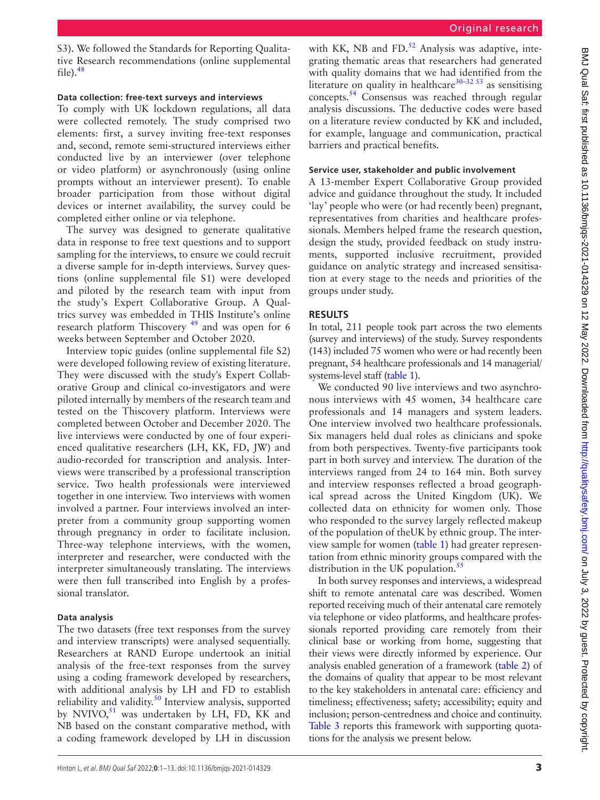[S3\)](https://dx.doi.org/10.1136/bmjqs-2021-014329). We followed the Standards for Reporting Qualitative Research recommendations [\(online supplemental](https://dx.doi.org/10.1136/bmjqs-2021-014329)  [file\)](https://dx.doi.org/10.1136/bmjqs-2021-014329). $48$ 

#### **Data collection: free-text surveys and interviews**

To comply with UK lockdown regulations, all data were collected remotely. The study comprised two elements: first, a survey inviting free-text responses and, second, remote semi-structured interviews either conducted live by an interviewer (over telephone or video platform) or asynchronously (using online prompts without an interviewer present). To enable broader participation from those without digital devices or internet availability, the survey could be completed either online or via telephone.

The survey was designed to generate qualitative data in response to free text questions and to support sampling for the interviews, to ensure we could recruit a diverse sample for in-depth interviews. Survey questions ([online supplemental file S1](https://dx.doi.org/10.1136/bmjqs-2021-014329)) were developed and piloted by the research team with input from the study's Expert Collaborative Group. A Qualtrics survey was embedded in THIS Institute's online research platform Thiscovery<sup>49</sup> and was open for 6 weeks between September and October 2020.

Interview topic guides [\(online supplemental file S2](https://dx.doi.org/10.1136/bmjqs-2021-014329)) were developed following review of existing literature. They were discussed with the study's Expert Collaborative Group and clinical co-investigators and were piloted internally by members of the research team and tested on the Thiscovery platform. Interviews were completed between October and December 2020. The live interviews were conducted by one of four experienced qualitative researchers (LH, KK, FD, JW) and audio-recorded for transcription and analysis. Interviews were transcribed by a professional transcription service. Two health professionals were interviewed together in one interview. Two interviews with women involved a partner. Four interviews involved an interpreter from a community group supporting women through pregnancy in order to facilitate inclusion. Three-way telephone interviews, with the women, interpreter and researcher, were conducted with the interpreter simultaneously translating. The interviews were then full transcribed into English by a professional translator.

#### **Data analysis**

The two datasets (free text responses from the survey and interview transcripts) were analysed sequentially. Researchers at RAND Europe undertook an initial analysis of the free-text responses from the survey using a coding framework developed by researchers, with additional analysis by LH and FD to establish reliability and validity.<sup>[50](#page-11-15)</sup> Interview analysis, supported by NVIVO, $51$  was undertaken by LH, FD, KK and NB based on the constant comparative method, with a coding framework developed by LH in discussion

with KK, NB and  $FD<sup>52</sup>$  Analysis was adaptive, integrating thematic areas that researchers had generated with quality domains that we had identified from the literature on quality in healthcare<sup>30–32 53</sup> as sensitising concepts.[54](#page-11-18) Consensus was reached through regular analysis discussions. The deductive codes were based on a literature review conducted by KK and included, for example, language and communication, practical barriers and practical benefits.

#### **Service user, stakeholder and public involvement**

A 13-member Expert Collaborative Group provided advice and guidance throughout the study. It included 'lay' people who were (or had recently been) pregnant, representatives from charities and healthcare professionals. Members helped frame the research question, design the study, provided feedback on study instruments, supported inclusive recruitment, provided guidance on analytic strategy and increased sensitisation at every stage to the needs and priorities of the groups under study.

#### **RESULTS**

In total, 211 people took part across the two elements (survey and interviews) of the study. Survey respondents (143) included 75 women who were or had recently been pregnant, 54 healthcare professionals and 14 managerial/ systems-level staff [\(table](#page-3-0) 1).

We conducted 90 live interviews and two asynchronous interviews with 45 women, 34 healthcare care professionals and 14 managers and system leaders. One interview involved two healthcare professionals. Six managers held dual roles as clinicians and spoke from both perspectives. Twenty-five participants took part in both survey and interview. The duration of the interviews ranged from 24 to 164 min. Both survey and interview responses reflected a broad geographical spread across the United Kingdom (UK). We collected data on ethnicity for women only. Those who responded to the survey largely reflected makeup of the population of theUK by ethnic group. The interview sample for women [\(table](#page-3-0) 1) had greater representation from ethnic minority groups compared with the distribution in the UK population. $55$ 

In both survey responses and interviews, a widespread shift to remote antenatal care was described. Women reported receiving much of their antenatal care remotely via telephone or video platforms, and healthcare professionals reported providing care remotely from their clinical base or working from home, suggesting that their views were directly informed by experience. Our analysis enabled generation of a framework [\(table](#page-4-0) 2) of the domains of quality that appear to be most relevant to the key stakeholders in antenatal care: efficiency and timeliness; effectiveness; safety; accessibility; equity and inclusion; person-centredness and choice and continuity. [Table](#page-5-0) 3 reports this framework with supporting quotations for the analysis we present below.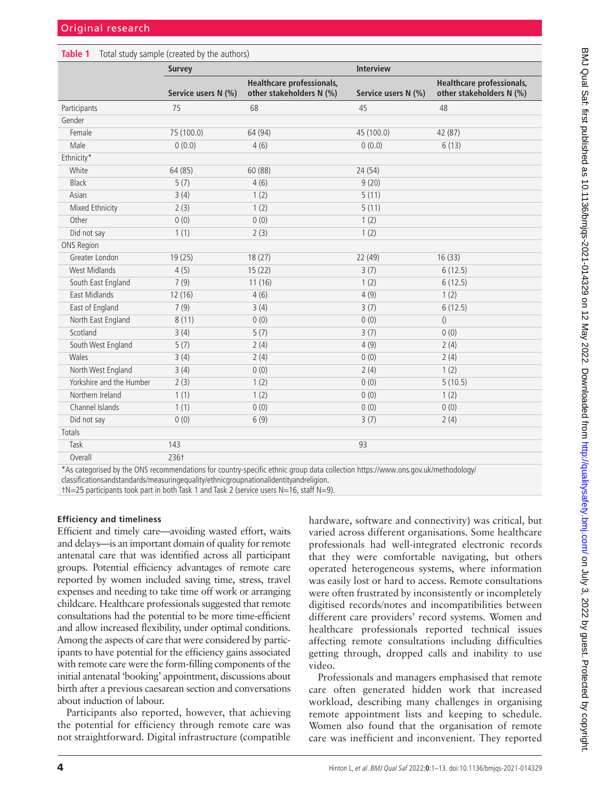#### <span id="page-3-0"></span>**Table 1** Total study sample (created by the authors)

| <b>Healthcare professionals,</b><br><b>Healthcare professionals,</b><br>other stakeholders N (%)<br>other stakeholders N (%)<br>Service users N (%)<br>Service users N (%)<br>68<br>Participants<br>75<br>45<br>48<br>Gender<br>Female<br>75 (100.0)<br>64 (94)<br>45 (100.0)<br>42 (87)<br>Male<br>0(0.0)<br>0(0.0)<br>4(6)<br>6(13)<br>Ethnicity*<br>64 (85)<br>60 (88)<br>24 (54)<br>White<br>Black<br>5(7)<br>4(6)<br>9(20)<br>Asian<br>3(4)<br>1(2)<br>5(11)<br>5(11)<br>Mixed Ethnicity<br>2(3)<br>1(2)<br>Other<br>0(0)<br>0(0)<br>1(2)<br>1(1)<br>1(2)<br>Did not say<br>2(3)<br>ONS Region<br>Greater London<br>19(25)<br>18(27)<br>22 (49)<br>16(33)<br><b>West Midlands</b><br>3(7)<br>4(5)<br>15(22)<br>6(12.5) |                    | <b>Survey</b> |        | <b>Interview</b> |         |
|-----------------------------------------------------------------------------------------------------------------------------------------------------------------------------------------------------------------------------------------------------------------------------------------------------------------------------------------------------------------------------------------------------------------------------------------------------------------------------------------------------------------------------------------------------------------------------------------------------------------------------------------------------------------------------------------------------------------------------|--------------------|---------------|--------|------------------|---------|
|                                                                                                                                                                                                                                                                                                                                                                                                                                                                                                                                                                                                                                                                                                                             |                    |               |        |                  |         |
|                                                                                                                                                                                                                                                                                                                                                                                                                                                                                                                                                                                                                                                                                                                             |                    |               |        |                  |         |
|                                                                                                                                                                                                                                                                                                                                                                                                                                                                                                                                                                                                                                                                                                                             |                    |               |        |                  |         |
|                                                                                                                                                                                                                                                                                                                                                                                                                                                                                                                                                                                                                                                                                                                             |                    |               |        |                  |         |
|                                                                                                                                                                                                                                                                                                                                                                                                                                                                                                                                                                                                                                                                                                                             |                    |               |        |                  |         |
|                                                                                                                                                                                                                                                                                                                                                                                                                                                                                                                                                                                                                                                                                                                             |                    |               |        |                  |         |
|                                                                                                                                                                                                                                                                                                                                                                                                                                                                                                                                                                                                                                                                                                                             |                    |               |        |                  |         |
|                                                                                                                                                                                                                                                                                                                                                                                                                                                                                                                                                                                                                                                                                                                             |                    |               |        |                  |         |
|                                                                                                                                                                                                                                                                                                                                                                                                                                                                                                                                                                                                                                                                                                                             |                    |               |        |                  |         |
|                                                                                                                                                                                                                                                                                                                                                                                                                                                                                                                                                                                                                                                                                                                             |                    |               |        |                  |         |
|                                                                                                                                                                                                                                                                                                                                                                                                                                                                                                                                                                                                                                                                                                                             |                    |               |        |                  |         |
|                                                                                                                                                                                                                                                                                                                                                                                                                                                                                                                                                                                                                                                                                                                             |                    |               |        |                  |         |
|                                                                                                                                                                                                                                                                                                                                                                                                                                                                                                                                                                                                                                                                                                                             |                    |               |        |                  |         |
|                                                                                                                                                                                                                                                                                                                                                                                                                                                                                                                                                                                                                                                                                                                             |                    |               |        |                  |         |
|                                                                                                                                                                                                                                                                                                                                                                                                                                                                                                                                                                                                                                                                                                                             |                    |               |        |                  |         |
|                                                                                                                                                                                                                                                                                                                                                                                                                                                                                                                                                                                                                                                                                                                             | South East England | 7(9)          | 11(16) | 1(2)             | 6(12.5) |
| East Midlands<br>4(6)<br>4(9)<br>1(2)<br>12(16)                                                                                                                                                                                                                                                                                                                                                                                                                                                                                                                                                                                                                                                                             |                    |               |        |                  |         |
| East of England<br>7(9)<br>3(4)<br>3(7)<br>6(12.5)                                                                                                                                                                                                                                                                                                                                                                                                                                                                                                                                                                                                                                                                          |                    |               |        |                  |         |
| North East England<br>0(0)<br>()<br>8(11)<br>0(0)                                                                                                                                                                                                                                                                                                                                                                                                                                                                                                                                                                                                                                                                           |                    |               |        |                  |         |
| Scotland<br>5(7)<br>3(4)<br>3(7)<br>0(0)                                                                                                                                                                                                                                                                                                                                                                                                                                                                                                                                                                                                                                                                                    |                    |               |        |                  |         |
| South West England<br>5(7)<br>2(4)<br>4(9)<br>2(4)                                                                                                                                                                                                                                                                                                                                                                                                                                                                                                                                                                                                                                                                          |                    |               |        |                  |         |
| Wales<br>3(4)<br>2(4)<br>0(0)<br>2(4)                                                                                                                                                                                                                                                                                                                                                                                                                                                                                                                                                                                                                                                                                       |                    |               |        |                  |         |
| North West England<br>3(4)<br>0(0)<br>1(2)<br>2(4)                                                                                                                                                                                                                                                                                                                                                                                                                                                                                                                                                                                                                                                                          |                    |               |        |                  |         |
| Yorkshire and the Humber<br>2(3)<br>1(2)<br>0(0)<br>5(10.5)                                                                                                                                                                                                                                                                                                                                                                                                                                                                                                                                                                                                                                                                 |                    |               |        |                  |         |
| Northern Ireland<br>1(1)<br>1(2)<br>0(0)<br>1(2)                                                                                                                                                                                                                                                                                                                                                                                                                                                                                                                                                                                                                                                                            |                    |               |        |                  |         |
| Channel Islands<br>1(1)<br>0(0)<br>0(0)<br>0(0)                                                                                                                                                                                                                                                                                                                                                                                                                                                                                                                                                                                                                                                                             |                    |               |        |                  |         |
| 0(0)<br>6(9)<br>2(4)<br>Did not say<br>3(7)                                                                                                                                                                                                                                                                                                                                                                                                                                                                                                                                                                                                                                                                                 |                    |               |        |                  |         |
| Totals                                                                                                                                                                                                                                                                                                                                                                                                                                                                                                                                                                                                                                                                                                                      |                    |               |        |                  |         |
| Task<br>143<br>93                                                                                                                                                                                                                                                                                                                                                                                                                                                                                                                                                                                                                                                                                                           |                    |               |        |                  |         |
| 236†<br>Overall<br><b>The Communication</b>                                                                                                                                                                                                                                                                                                                                                                                                                                                                                                                                                                                                                                                                                 |                    |               |        |                  |         |

\*As categorised by the ONS recommendations for country-specific ethnic group data collection [https://www.ons.gov.uk/methodology/](https://www.ons.gov.uk/methodology/classificationsandstandards/measuringequality/ethnicgroupnationalidentityandreligion)

[classificationsandstandards/measuringequality/ethnicgroupnationalidentityandreligion](https://www.ons.gov.uk/methodology/classificationsandstandards/measuringequality/ethnicgroupnationalidentityandreligion).

†N=25 participants took part in both Task 1 and Task 2 (service users N=16, staff N=9).

#### **Efficiency and timeliness**

Efficient and timely care—avoiding wasted effort, waits and delays—is an important domain of quality for remote antenatal care that was identified across all participant groups. Potential efficiency advantages of remote care reported by women included saving time, stress, travel expenses and needing to take time off work or arranging childcare. Healthcare professionals suggested that remote consultations had the potential to be more time-efficient and allow increased flexibility, under optimal conditions. Among the aspects of care that were considered by participants to have potential for the efficiency gains associated with remote care were the form-filling components of the initial antenatal 'booking' appointment, discussions about birth after a previous caesarean section and conversations about induction of labour.

Participants also reported, however, that achieving the potential for efficiency through remote care was not straightforward. Digital infrastructure (compatible

hardware, software and connectivity) was critical, but varied across different organisations. Some healthcare professionals had well-integrated electronic records that they were comfortable navigating, but others operated heterogeneous systems, where information was easily lost or hard to access. Remote consultations were often frustrated by inconsistently or incompletely digitised records/notes and incompatibilities between different care providers' record systems. Women and healthcare professionals reported technical issues affecting remote consultations including difficulties getting through, dropped calls and inability to use video.

Professionals and managers emphasised that remote care often generated hidden work that increased workload, describing many challenges in organising remote appointment lists and keeping to schedule. Women also found that the organisation of remote care was inefficient and inconvenient. They reported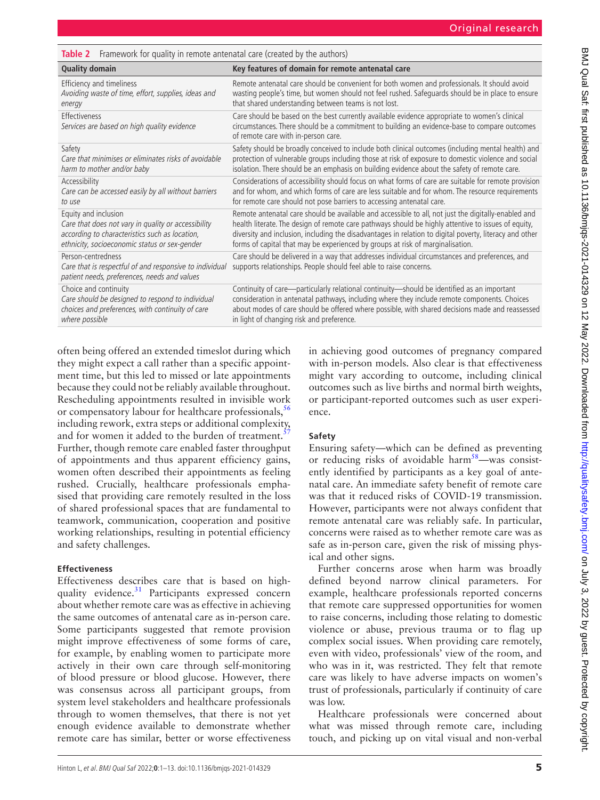<span id="page-4-0"></span>**Table 2** Framework for quality in remote antenatal care (created by the authors)

| <b>Quality domain</b>                                                                                                         | Key features of domain for remote antenatal care                                                                                                                                                                                     |
|-------------------------------------------------------------------------------------------------------------------------------|--------------------------------------------------------------------------------------------------------------------------------------------------------------------------------------------------------------------------------------|
| Efficiency and timeliness                                                                                                     | Remote antenatal care should be convenient for both women and professionals. It should avoid                                                                                                                                         |
| Avoiding waste of time, effort, supplies, ideas and                                                                           | wasting people's time, but women should not feel rushed. Safeguards should be in place to ensure                                                                                                                                     |
| energy                                                                                                                        | that shared understanding between teams is not lost.                                                                                                                                                                                 |
| Effectiveness<br>Services are based on high quality evidence                                                                  | Care should be based on the best currently available evidence appropriate to women's clinical<br>circumstances. There should be a commitment to building an evidence-base to compare outcomes<br>of remote care with in-person care. |
| Safety                                                                                                                        | Safety should be broadly conceived to include both clinical outcomes (including mental health) and                                                                                                                                   |
| Care that minimises or eliminates risks of avoidable                                                                          | protection of vulnerable groups including those at risk of exposure to domestic violence and social                                                                                                                                  |
| harm to mother and/or baby                                                                                                    | isolation. There should be an emphasis on building evidence about the safety of remote care.                                                                                                                                         |
| Accessibility                                                                                                                 | Considerations of accessibility should focus on what forms of care are suitable for remote provision                                                                                                                                 |
| Care can be accessed easily by all without barriers                                                                           | and for whom, and which forms of care are less suitable and for whom. The resource requirements                                                                                                                                      |
| to use                                                                                                                        | for remote care should not pose barriers to accessing antenatal care.                                                                                                                                                                |
| Equity and inclusion                                                                                                          | Remote antenatal care should be available and accessible to all, not just the digitally-enabled and                                                                                                                                  |
| Care that does not vary in quality or accessibility                                                                           | health literate. The design of remote care pathways should be highly attentive to issues of equity,                                                                                                                                  |
| according to characteristics such as location,                                                                                | diversity and inclusion, including the disadvantages in relation to digital poverty, literacy and other                                                                                                                              |
| ethnicity, socioeconomic status or sex-gender                                                                                 | forms of capital that may be experienced by groups at risk of marginalisation.                                                                                                                                                       |
| Person-centredness<br>Care that is respectful of and responsive to individual<br>patient needs, preferences, needs and values | Care should be delivered in a way that addresses individual circumstances and preferences, and<br>supports relationships. People should feel able to raise concerns.                                                                 |
| Choice and continuity                                                                                                         | Continuity of care—particularly relational continuity—should be identified as an important                                                                                                                                           |
| Care should be designed to respond to individual                                                                              | consideration in antenatal pathways, including where they include remote components. Choices                                                                                                                                         |
| choices and preferences, with continuity of care                                                                              | about modes of care should be offered where possible, with shared decisions made and reassessed                                                                                                                                      |
| where possible                                                                                                                | in light of changing risk and preference.                                                                                                                                                                                            |

often being offered an extended timeslot during which they might expect a call rather than a specific appointment time, but this led to missed or late appointments because they could not be reliably available throughout. Rescheduling appointments resulted in invisible work or compensatory labour for healthcare professionals,<sup>[56](#page-12-1)</sup> including rework, extra steps or additional complexity, and for women it added to the burden of treatment.<sup>5</sup> Further, though remote care enabled faster throughput of appointments and thus apparent efficiency gains, women often described their appointments as feeling rushed. Crucially, healthcare professionals emphasised that providing care remotely resulted in the loss of shared professional spaces that are fundamental to teamwork, communication, cooperation and positive working relationships, resulting in potential efficiency and safety challenges.

#### **Effectiveness**

Effectiveness describes care that is based on highquality evidence.<sup>31</sup> Participants expressed concern about whether remote care was as effective in achieving the same outcomes of antenatal care as in-person care. Some participants suggested that remote provision might improve effectiveness of some forms of care, for example, by enabling women to participate more actively in their own care through self-monitoring of blood pressure or blood glucose. However, there was consensus across all participant groups, from system level stakeholders and healthcare professionals through to women themselves, that there is not yet enough evidence available to demonstrate whether remote care has similar, better or worse effectiveness

in achieving good outcomes of pregnancy compared with in-person models. Also clear is that effectiveness might vary according to outcome, including clinical outcomes such as live births and normal birth weights, or participant-reported outcomes such as user experience.

# **Safety**

Ensuring safety—which can be defined as preventing or reducing risks of avoidable harm $58$ —was consistently identified by participants as a key goal of antenatal care. An immediate safety benefit of remote care was that it reduced risks of COVID-19 transmission. However, participants were not always confident that remote antenatal care was reliably safe. In particular, concerns were raised as to whether remote care was as safe as in-person care, given the risk of missing physical and other signs.

Further concerns arose when harm was broadly defined beyond narrow clinical parameters. For example, healthcare professionals reported concerns that remote care suppressed opportunities for women to raise concerns, including those relating to domestic violence or abuse, previous trauma or to flag up complex social issues. When providing care remotely, even with video, professionals' view of the room, and who was in it, was restricted. They felt that remote care was likely to have adverse impacts on women's trust of professionals, particularly if continuity of care was low.

Healthcare professionals were concerned about what was missed through remote care, including touch, and picking up on vital visual and non-verbal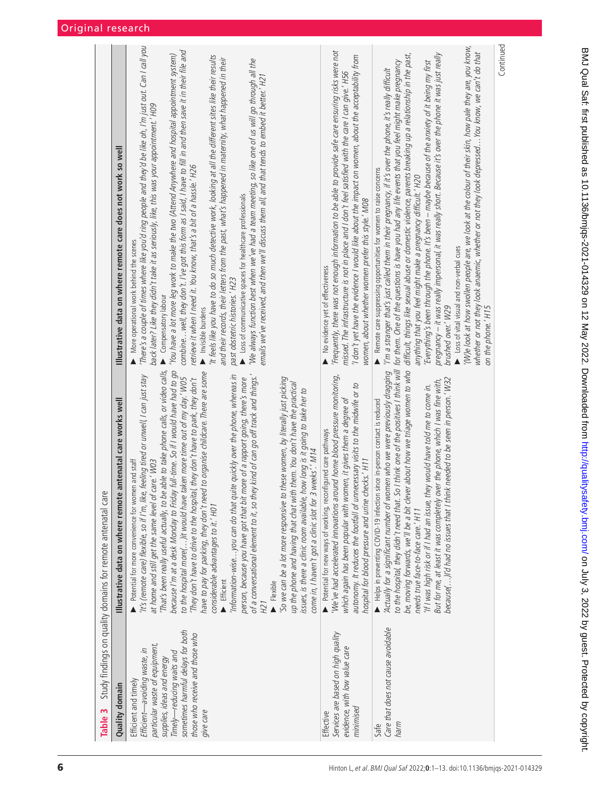<span id="page-5-0"></span>

| Table 3                                                                                                                                                                                                                                | Study findings on quality domains for remote antenatal care                                                                                                                                                                                                                                                                                                                                                                                                                                                                                                                                                                                                                                                                                                                                                                                                                                                                                                                                                                                                                                                                                                                                                                                              |                                                                                                                                                                                                                                                                                                                                                                                                                                                                                                                                                                                                                                                                                                                                                                                                                                                                                                                                                                                                                                                                                                                       |
|----------------------------------------------------------------------------------------------------------------------------------------------------------------------------------------------------------------------------------------|----------------------------------------------------------------------------------------------------------------------------------------------------------------------------------------------------------------------------------------------------------------------------------------------------------------------------------------------------------------------------------------------------------------------------------------------------------------------------------------------------------------------------------------------------------------------------------------------------------------------------------------------------------------------------------------------------------------------------------------------------------------------------------------------------------------------------------------------------------------------------------------------------------------------------------------------------------------------------------------------------------------------------------------------------------------------------------------------------------------------------------------------------------------------------------------------------------------------------------------------------------|-----------------------------------------------------------------------------------------------------------------------------------------------------------------------------------------------------------------------------------------------------------------------------------------------------------------------------------------------------------------------------------------------------------------------------------------------------------------------------------------------------------------------------------------------------------------------------------------------------------------------------------------------------------------------------------------------------------------------------------------------------------------------------------------------------------------------------------------------------------------------------------------------------------------------------------------------------------------------------------------------------------------------------------------------------------------------------------------------------------------------|
| Quality domain                                                                                                                                                                                                                         | antenatal care works well<br>Illustrative data on where remote                                                                                                                                                                                                                                                                                                                                                                                                                                                                                                                                                                                                                                                                                                                                                                                                                                                                                                                                                                                                                                                                                                                                                                                           | Illustrative data on where remote care does not work so well                                                                                                                                                                                                                                                                                                                                                                                                                                                                                                                                                                                                                                                                                                                                                                                                                                                                                                                                                                                                                                                          |
| sometimes harmful delays for both<br>those who receive and those who<br>particular waste of equipment,<br>Efficient-avoiding waste, in<br>Timely-reducing waits and<br>supplies, ideas and energy<br>Efficient and timely<br>give care | because I'm at a desk Monday to Friday full-time. So if I would have had to go<br>That's been really useful actually, to be able to take phone calls, or video calls,<br>have to pay for parking, they don't need to organise childcare. There are some<br>Information-wiseyou can do that quite quickly over the phone, whereas in<br>It's (remote care) flexible, so if I'm, like, feeling tired or unwell, I can just stay<br>of a conversational element to it, so they kind of can go off track and things."<br>to the hospital more()it would have taken more time out of my day.' W05<br>So we can be a lot more responsive to these women, by literally just picking<br>They don't have to drive to the hospital, they don't have to park, they don't<br>person, because you have got that bit more of a rapport going, there's more<br>up the phone and having that chat with them. You don't have the practical<br>issues, is there a clinic room available, how long is it going to take her to<br>come in, I haven't got a clinic slot for 3 weeks'.' M14<br>at home and still get the same level of care.' W03<br>Potential for more convenience for women and staff<br>considerable advantages to it.' H01<br>Efficient<br>Flexible<br>H21 | There's a couple of times where like you'd ring people and they'd be like oh, I'm just out. Can I call you<br>combine well, they don't. I've got this form as I said, I have to fill in and then save it in their file and<br>'You have a lot more leg work to make the two (Attend Anywhere and hospital appointment system)<br>It feels like you have to do so much detective work, looking at all the different sites like their results<br>and their records, their letters from the past, what's happened in maternity, what happened in their<br>'We always function best when we've had a team meeting, so like one of us will go through all the<br>emails we've received, and then we'll discuss them all, and that tends to embed it better.' H21<br>back later? Like they didn't take it as seriously, like, this was your appointment.' H09<br>retrieve it when I need it. You know, that's a bit of a hassle.' H26<br>Loss of communicative spaces for healthcare professionals<br>More operational work behind the scenes<br>past obstetric histories.' H23<br>Compensatory labour<br>Invisible burdens |
| Services are based on high quality<br>evidence, with low value care<br>minimised<br>Effective                                                                                                                                          | 'We've had accelerated innovations around home blood pressure monitoring,<br>autonomy. It reduces the footfall of unnecessary visits to the midwife or to<br>which again has been popular with women, it gives them a degree of<br>Potential for new ways of working, reconfigured care pathways<br>hospital for blood pressure and urine checks.' H11                                                                                                                                                                                                                                                                                                                                                                                                                                                                                                                                                                                                                                                                                                                                                                                                                                                                                                   | Frequently, there was not enough information to be able to provide safe care ensuring risks were not<br>I don't yet have the evidence I would like about the impact on women, about the acceptability from<br>missed. The infrastructure is not in place and I don't feel satisfied with the care I can give.' H56<br>women, about whether women prefer this style.' M08<br>No evidence yet of effectiveness                                                                                                                                                                                                                                                                                                                                                                                                                                                                                                                                                                                                                                                                                                          |
| Care that does not cause avoidable<br>Safe<br>harm                                                                                                                                                                                     | to the hospital, they didn't need that. So I think one of the positives I think will<br>be, moving forwards, we'll be a bit clever about how we triage women to who<br>Actually for a significant number of women who we were previously dragging<br>because()I'd had no issues that I think needed to be seen in person.' W32<br>But for me, at least it was completely over the phone, which I was fine with,<br>If I was high risk or if I had an issue, they would have told me to come in.<br>Helps in preventing COVID-19 infection since in-person contact is reduced<br>needs true face-to-face care.' H11                                                                                                                                                                                                                                                                                                                                                                                                                                                                                                                                                                                                                                       | (W)e look at how swollen people are, we look at the colour of their skin, how pale they are, you know,<br>whether or not they look anaemic, whether or not they look depressed You know, we can't do that<br>pregnancy – it was really impersonal, it was really short. Because it's over the phone it was just really<br>difficult, things like sexual abuse or domestic violence, parents breaking up a relationship in the past,<br>Everything's been through the phone. It's been – maybe because of the anxiety of it being my first<br>for them. One of the questions is have you had any life events that you feel might make pregnancy<br>I'm a stranger that's just called them in their pregnancy, if it's over the phone, it's really difficult<br>Remote care suppressing opportunities for women to raise concerns<br>anything that you feel might make a pregnancy difficult.' H20<br>Loss of vital visual and non-verbal cues<br>brushed over.' W29<br>on the phone.' H15                                                                                                                              |
|                                                                                                                                                                                                                                        |                                                                                                                                                                                                                                                                                                                                                                                                                                                                                                                                                                                                                                                                                                                                                                                                                                                                                                                                                                                                                                                                                                                                                                                                                                                          | Continued                                                                                                                                                                                                                                                                                                                                                                                                                                                                                                                                                                                                                                                                                                                                                                                                                                                                                                                                                                                                                                                                                                             |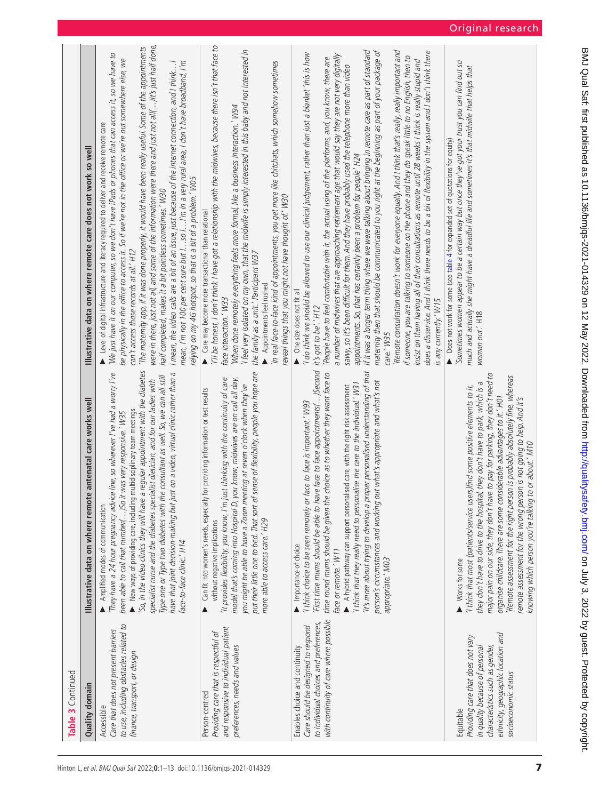| Table 3 Continued                                                                                                                                                                 |                                                                                                                                                                                                                                                                                                                                                                                                                                                                                                                                                                                                                                           |                                                                                                                                                                                                                                                                                                                                                                                                                                                                                                                                                                                                                                                                                                                                                                                                                                                                                                                                                                                                                                                                                                                                                                                                                                                            |
|-----------------------------------------------------------------------------------------------------------------------------------------------------------------------------------|-------------------------------------------------------------------------------------------------------------------------------------------------------------------------------------------------------------------------------------------------------------------------------------------------------------------------------------------------------------------------------------------------------------------------------------------------------------------------------------------------------------------------------------------------------------------------------------------------------------------------------------------|------------------------------------------------------------------------------------------------------------------------------------------------------------------------------------------------------------------------------------------------------------------------------------------------------------------------------------------------------------------------------------------------------------------------------------------------------------------------------------------------------------------------------------------------------------------------------------------------------------------------------------------------------------------------------------------------------------------------------------------------------------------------------------------------------------------------------------------------------------------------------------------------------------------------------------------------------------------------------------------------------------------------------------------------------------------------------------------------------------------------------------------------------------------------------------------------------------------------------------------------------------|
| Quality domain                                                                                                                                                                    | antenatal care works well<br>Illustrative data on where remote                                                                                                                                                                                                                                                                                                                                                                                                                                                                                                                                                                            | Illustrative data on where remote care does not work so well                                                                                                                                                                                                                                                                                                                                                                                                                                                                                                                                                                                                                                                                                                                                                                                                                                                                                                                                                                                                                                                                                                                                                                                               |
| to use, including obstacles related to<br>Care that does not present barriers<br>finance, transport, or design<br>Accessible                                                      | So, in the video clinics they will have a regular appointment with the diabetes<br>They have a 24 hour pregnancy advice line, so wherever I've had a worry I've<br>on a video, virtual clinic rather than a<br>Type one or Type two diabetes with the consultant as well. So, we can all still<br>specialist nurse and the diabetes specialist dietician, and for our ladies with<br>New ways of providing care, including multidisciplinary team meetings<br>been able to call that number()So it was very responsive.' W35<br>have that joint decision-making but just<br>Amplified modes of communication<br>face-to-face clinic.' H14 | were in there, just not all, and some of the information were there and just not all()It's just half done,<br>The maternity app, if it was done properly, it would have been really useful. Some of the appointments<br>'We just have it on our computer, so we don't have iPads or phones that can access it, so we have to<br>be physically in the office to access it. So if we're not in the office or we're out somewhere else, we<br>I mean, the video calls are a bit of an issue, just because of the internet connection, and I think!<br>mean, I'm not 100 per cent sure but lso l I'm in a very rural area, I don't have broadband, I'm<br>Level of digital infrastructure and literacy required to deliver and receive remote care<br>relying on my 4G hotspot, so that is a bit of a problem.' W05<br>half completed, makes it a bit pointless sometimes.' W30<br>can't access those records at all.' H12                                                                                                                                                                                                                                                                                                                                     |
| and responsive to individual patient<br>Providing care that is respectful of<br>preferences, needs and values<br>Person-centred                                                   | put their little one to bed. That sort of sense of flexibility, people you hope are<br>model that's coming into Hospital D, you know, midwives are on call all day,<br>'It provides flexibility, you know, I'm just thinking with the continuity of care<br>you might be able to have a Zoom meeting at seven o'clock when they've<br>Can fit into women's needs, especially for providing information or test results<br>more able to access care.' H29<br>without negative implications                                                                                                                                                 | "I'll be honest, I don't think I have got a relationship with the midwives, because there isn't that face to<br>I feel very isolated on my own, that the midwife is simply interested in this baby and not interested in<br>In real face-to-face kind of appointments, you get more like chitchats, which somehow sometimes<br>'When done remotely everything feels more formal, like a business interaction.' W94<br>reveal things that you might not have thought of.' W30<br>Care may become more transactional than relational<br>the family as a unit.' Participant W37<br>Appointments feel rushed<br>face interaction.' W33                                                                                                                                                                                                                                                                                                                                                                                                                                                                                                                                                                                                                         |
| with continuity of care where possible<br>to individual choices and preferences,<br>Care should be designed to respond<br>Enables choice and continuity                           | First time mums should be able to have face to face appointments()Second<br>It's more about trying to develop a proper personalised understanding of that<br>time round mums should be given the choice as to whether they want face to<br>person's circumstances and working out what's appropriate and what's not<br>I think that they really need to personalise the care to the individual.' W31<br>A hybrid pathway can support personalised care, with the right risk assessment<br>'I think choice to be seen remotely or face to face is important.' W93<br>Importance of choice<br>face or remote.' W11<br>appropriate.' M03     | 'Remote consultation doesn't work for everyone equally. And I think that's really, really important and<br>If it was a longer term thing where we were talking about bringing in remote care as part of standard<br>maternity then that should be communicated to you right at the beginning as part of your package of<br>does a disservice. And I think there needs to be a bit of flexibility in the system and I don't think there<br>I do think we should be allowed to use our clinical judgement, rather than just a blanket 'this is how'<br>a number of midwives that are approaching retirement age that would say they are not very digitally<br>if someone, you are talking to someone on the phone and they do speak little to no English, then to<br>People have to feel comfortable with it, the actual using of the platforms, and, you know, there are<br>insist on them having all of their consultations as remote until 28 weeks I think is really stupid and<br>sawy, so it's been difficult for them. And they have probably used the telephone more than video<br>appointments. So, that has certainly been a problem for people' H24<br>One size does not fit all<br>is any currently.' W15<br>it's got to be'.' H12<br>care.' W35 |
| ethnicity, geographic location and<br>Providing care that does not vary<br>characteristics such as gender,<br>in quality because of personal<br>socioeconomic status<br>Equitable | major pain on our side, they don't have to pay for parking, they don't need to<br>Remote assessment for the right person is probably absolutely fine, whereas<br>they don't have to drive to the hospital, they don't have to park, which is a<br>'I think that most (patients/service users)find some positive elements to it,<br>organise childcare. There are some considerable advantages to it.' H01<br>remote assessment for the wrong person is not going to help. And it's<br>or about.' M10<br>knowing which person you're talking to<br>Works for some                                                                          | Sometimes women appear to be a certain way but once they've got your trust you can find out so<br>much and actually she might have a dreadful life and sometimes it's that midwife that helps that<br>Does not work for some (see table 4 for expanded set of quotations for equity)<br>woman out.' H18                                                                                                                                                                                                                                                                                                                                                                                                                                                                                                                                                                                                                                                                                                                                                                                                                                                                                                                                                    |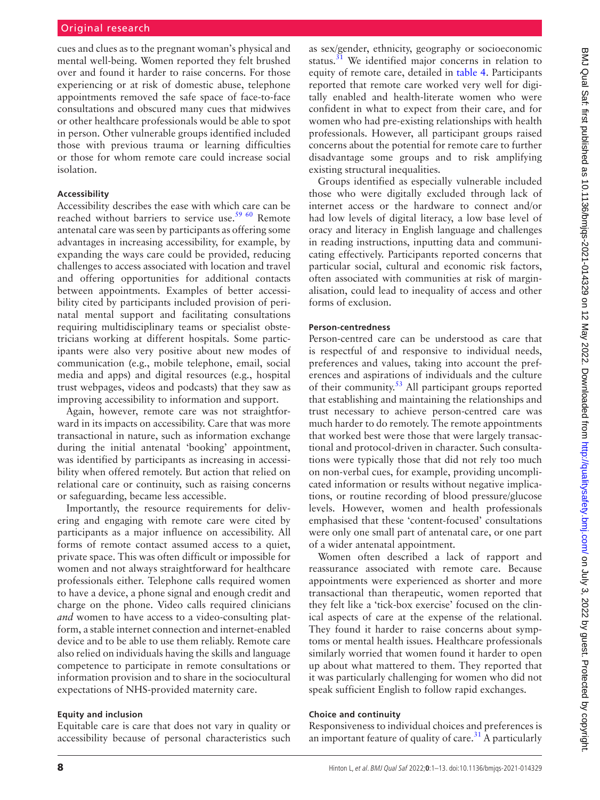cues and clues as to the pregnant woman's physical and mental well-being. Women reported they felt brushed over and found it harder to raise concerns. For those experiencing or at risk of domestic abuse, telephone appointments removed the safe space of face-to-face consultations and obscured many cues that midwives or other healthcare professionals would be able to spot in person. Other vulnerable groups identified included those with previous trauma or learning difficulties or those for whom remote care could increase social isolation.

#### **Accessibility**

Accessibility describes the ease with which care can be reached without barriers to service use.<sup>[59 60](#page-12-4)</sup> Remote antenatal care was seen by participants as offering some advantages in increasing accessibility, for example, by expanding the ways care could be provided, reducing challenges to access associated with location and travel and offering opportunities for additional contacts between appointments. Examples of better accessibility cited by participants included provision of perinatal mental support and facilitating consultations requiring multidisciplinary teams or specialist obstetricians working at different hospitals. Some participants were also very positive about new modes of communication (e.g., mobile telephone, email, social media and apps) and digital resources (e.g., hospital trust webpages, videos and podcasts) that they saw as improving accessibility to information and support.

Again, however, remote care was not straightforward in its impacts on accessibility. Care that was more transactional in nature, such as information exchange during the initial antenatal 'booking' appointment, was identified by participants as increasing in accessibility when offered remotely. But action that relied on relational care or continuity, such as raising concerns or safeguarding, became less accessible.

Importantly, the resource requirements for delivering and engaging with remote care were cited by participants as a major influence on accessibility. All forms of remote contact assumed access to a quiet, private space. This was often difficult or impossible for women and not always straightforward for healthcare professionals either. Telephone calls required women to have a device, a phone signal and enough credit and charge on the phone. Video calls required clinicians *and* women to have access to a video-consulting platform, a stable internet connection and internet-enabled device and to be able to use them reliably. Remote care also relied on individuals having the skills and language competence to participate in remote consultations or information provision and to share in the sociocultural expectations of NHS-provided maternity care.

#### **Equity and inclusion**

Equitable care is care that does not vary in quality or accessibility because of personal characteristics such

as sex/gender, ethnicity, geography or socioeconomic status. $31$  We identified major concerns in relation to equity of remote care, detailed in [table](#page-8-0) 4. Participants reported that remote care worked very well for digitally enabled and health-literate women who were confident in what to expect from their care, and for women who had pre-existing relationships with health professionals. However, all participant groups raised concerns about the potential for remote care to further disadvantage some groups and to risk amplifying existing structural inequalities.

Groups identified as especially vulnerable included those who were digitally excluded through lack of internet access or the hardware to connect and/or had low levels of digital literacy, a low base level of oracy and literacy in English language and challenges in reading instructions, inputting data and communicating effectively. Participants reported concerns that particular social, cultural and economic risk factors, often associated with communities at risk of marginalisation, could lead to inequality of access and other forms of exclusion.

#### **Person-centredness**

Person-centred care can be understood as care that is respectful of and responsive to individual needs, preferences and values, taking into account the preferences and aspirations of individuals and the culture of their community.<sup>53</sup> All participant groups reported that establishing and maintaining the relationships and trust necessary to achieve person-centred care was much harder to do remotely. The remote appointments that worked best were those that were largely transactional and protocol-driven in character. Such consultations were typically those that did not rely too much on non-verbal cues, for example, providing uncomplicated information or results without negative implications, or routine recording of blood pressure/glucose levels. However, women and health professionals emphasised that these 'content-focused' consultations were only one small part of antenatal care, or one part of a wider antenatal appointment.

Women often described a lack of rapport and reassurance associated with remote care. Because appointments were experienced as shorter and more transactional than therapeutic, women reported that they felt like a 'tick-box exercise' focused on the clinical aspects of care at the expense of the relational. They found it harder to raise concerns about symptoms or mental health issues. Healthcare professionals similarly worried that women found it harder to open up about what mattered to them. They reported that it was particularly challenging for women who did not speak sufficient English to follow rapid exchanges.

#### **Choice and continuity**

Responsiveness to individual choices and preferences is an important feature of quality of care.<sup>[31](#page-11-19)</sup> A particularly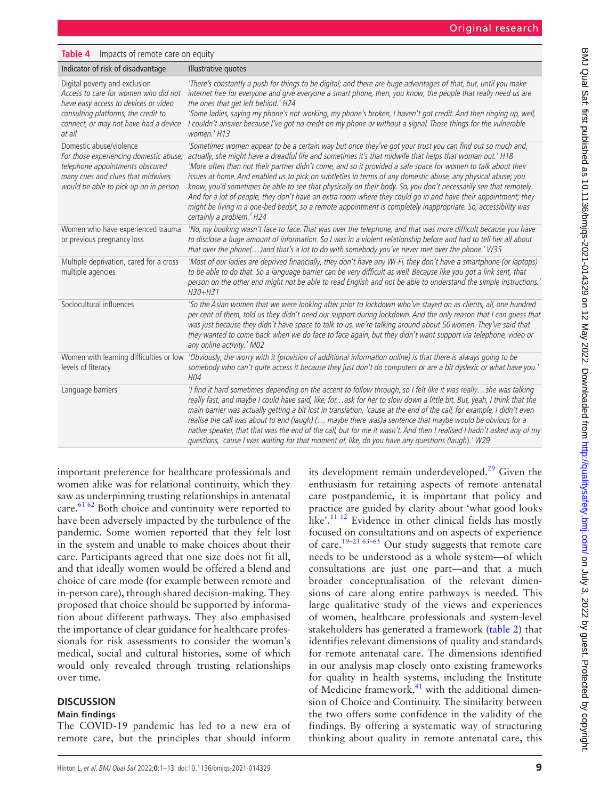# <span id="page-8-0"></span>**Table 4** Impacts of remote care on equity

| Indicator of risk of disadvantage                                                                                                                                                                       | Illustrative quotes                                                                                                                                                                                                                                                                                                                                                                                                                                                                                                                                                                                                                                                                                                                                                                                                                          |
|---------------------------------------------------------------------------------------------------------------------------------------------------------------------------------------------------------|----------------------------------------------------------------------------------------------------------------------------------------------------------------------------------------------------------------------------------------------------------------------------------------------------------------------------------------------------------------------------------------------------------------------------------------------------------------------------------------------------------------------------------------------------------------------------------------------------------------------------------------------------------------------------------------------------------------------------------------------------------------------------------------------------------------------------------------------|
| Digital poverty and exclusion<br>Access to care for women who did not<br>have easy access to devices or video<br>consulting platforms, the credit to<br>connect, or may not have had a device<br>at all | 'There's constantly a push for things to be digital; and there are huge advantages of that, but, until you make<br>internet free for everyone and give everyone a smart phone, then, you know, the people that really need us are<br>the ones that get left behind.' H24<br>'Some ladies, saying my phone's not working, my phone's broken, I haven't got credit. And then ringing up, well,<br>I couldn't answer because I've got no credit on my phone or without a signal. Those things for the vulnerable<br>women.' H13                                                                                                                                                                                                                                                                                                                 |
| Domestic abuse/violence<br>For those experiencing domestic abuse,<br>telephone appointments obscured<br>many cues and clues that midwives<br>would be able to pick up on in person                      | 'Sometimes women appear to be a certain way but once they've got your trust you can find out so much and,<br>actually, she might have a dreadful life and sometimes it's that midwife that helps that woman out.' H18<br>'More often than not their partner didn't come, and so it provided a safe space for women to talk about their<br>issues at home. And enabled us to pick on subtleties in terms of any domestic abuse, any physical abuse; you<br>know, you'd sometimes be able to see that physically on their body. So, you don't necessarily see that remotely.<br>And for a lot of people, they don't have an extra room where they could go in and have their appointment; they<br>might be living in a one-bed bedsit, so a remote appointment is completely inappropriate. So, accessibility was<br>certainly a problem.' H24 |
| Women who have experienced trauma<br>or previous pregnancy loss                                                                                                                                         | 'No, my booking wasn't face to face. That was over the telephone, and that was more difficult because you have<br>to disclose a huge amount of information. So I was in a violent relationship before and had to tell her all about<br>that over the phone()and that's a lot to do with somebody you've never met over the phone.' W35                                                                                                                                                                                                                                                                                                                                                                                                                                                                                                       |
| Multiple deprivation, cared for a cross<br>multiple agencies                                                                                                                                            | 'Most of our ladies are deprived financially, they don't have any Wi-Fi, they don't have a smartphone (or laptops)<br>to be able to do that. So a language barrier can be very difficult as well. Because like you got a link sent, that<br>person on the other end might not be able to read English and not be able to understand the simple instructions.'<br>$H30+H31$                                                                                                                                                                                                                                                                                                                                                                                                                                                                   |
| Sociocultural influences                                                                                                                                                                                | 'So the Asian women that we were looking after prior to lockdown who've stayed on as clients, all, one hundred<br>per cent of them, told us they didn't need our support during lockdown. And the only reason that I can quess that<br>was just because they didn't have space to talk to us, we're talking around about 50 women. They've said that<br>they wanted to come back when we do face to face again, but they didn't want support via telephone, video or<br>any online activity.' M02                                                                                                                                                                                                                                                                                                                                            |
| levels of literacy                                                                                                                                                                                      | Women with learning difficulties or low 'Obviously, the worry with it (provision of additional information online) is that there is always going to be<br>somebody who can't quite access it because they just don't do computers or are a bit dyslexic or what have you.'<br>H <sub>04</sub>                                                                                                                                                                                                                                                                                                                                                                                                                                                                                                                                                |
| Language barriers                                                                                                                                                                                       | 'I find it hard sometimes depending on the accent to follow through, so I felt like it was reallyshe was talking<br>really fast, and maybe I could have said, like, forask for her to slow down a little bit. But, yeah, I think that the<br>main barrier was actually getting a bit lost in translation, 'cause at the end of the call, for example, I didn't even<br>realise the call was about to end (laugh) ( maybe there was)a sentence that maybe would be obvious for a<br>native speaker, that that was the end of the call, but for me it wasn't. And then I realised I hadn't asked any of my<br>questions, 'cause I was waiting for that moment of, like, do you have any questions (laugh).' W29                                                                                                                                |

important preference for healthcare professionals and women alike was for relational continuity, which they saw as underpinning trusting relationships in antenatal care. $61 62$  Both choice and continuity were reported to have been adversely impacted by the turbulence of the pandemic. Some women reported that they felt lost in the system and unable to make choices about their care. Participants agreed that one size does not fit all, and that ideally women would be offered a blend and choice of care mode (for example between remote and in-person care), through shared decision-making. They proposed that choice should be supported by information about different pathways. They also emphasised the importance of clear guidance for healthcare professionals for risk assessments to consider the woman's medical, social and cultural histories, some of which would only revealed through trusting relationships over time.

# **DISCUSSION**

# **Main findings**

The COVID-19 pandemic has led to a new era of remote care, but the principles that should inform

its development remain underdeveloped. $29$  Given the enthusiasm for retaining aspects of remote antenatal care postpandemic, it is important that policy and practice are guided by clarity about 'what good looks like'.<sup>[11 12](#page-10-5)</sup> Evidence in other clinical fields has mostly focused on consultations and on aspects of experience of care[.19–23 63–65](#page-11-3) Our study suggests that remote care needs to be understood as a whole system—of which consultations are just one part—and that a much broader conceptualisation of the relevant dimensions of care along entire pathways is needed. This large qualitative study of the views and experiences of women, healthcare professionals and system-level stakeholders has generated a framework ([table](#page-4-0) 2) that identifies relevant dimensions of quality and standards for remote antenatal care. The dimensions identified in our analysis map closely onto existing frameworks for quality in health systems, including the Institute of Medicine framework, $41$  with the additional dimension of Choice and Continuity. The similarity between the two offers some confidence in the validity of the findings. By offering a systematic way of structuring thinking about quality in remote antenatal care, this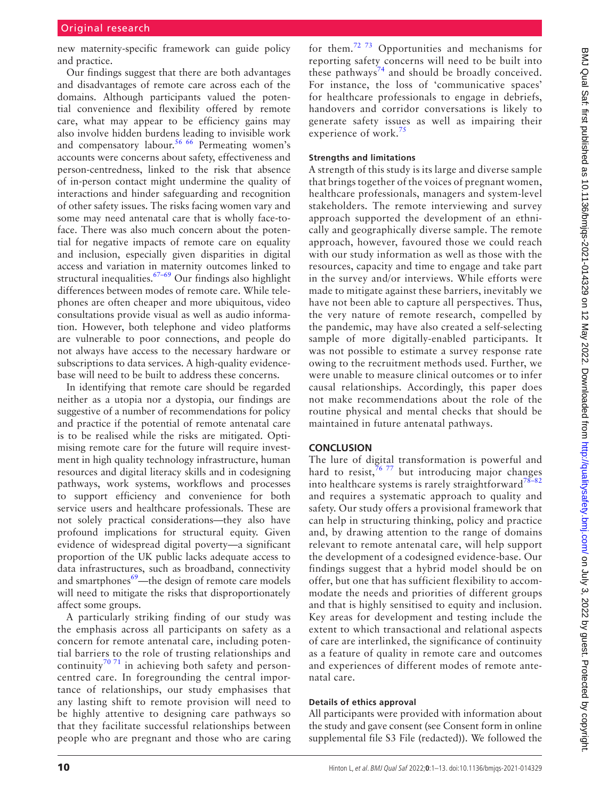new maternity-specific framework can guide policy and practice.

Our findings suggest that there are both advantages and disadvantages of remote care across each of the domains. Although participants valued the potential convenience and flexibility offered by remote care, what may appear to be efficiency gains may also involve hidden burdens leading to invisible work and compensatory labour.<sup>[56 66](#page-12-1)</sup> Permeating women's accounts were concerns about safety, effectiveness and person-centredness, linked to the risk that absence of in-person contact might undermine the quality of interactions and hinder safeguarding and recognition of other safety issues. The risks facing women vary and some may need antenatal care that is wholly face-toface. There was also much concern about the potential for negative impacts of remote care on equality and inclusion, especially given disparities in digital access and variation in maternity outcomes linked to structural inequalities. $67-69$  Our findings also highlight differences between modes of remote care. While telephones are often cheaper and more ubiquitous, video consultations provide visual as well as audio information. However, both telephone and video platforms are vulnerable to poor connections, and people do not always have access to the necessary hardware or subscriptions to data services. A high-quality evidencebase will need to be built to address these concerns.

In identifying that remote care should be regarded neither as a utopia nor a dystopia, our findings are suggestive of a number of recommendations for policy and practice if the potential of remote antenatal care is to be realised while the risks are mitigated. Optimising remote care for the future will require investment in high quality technology infrastructure, human resources and digital literacy skills and in codesigning pathways, work systems, workflows and processes to support efficiency and convenience for both service users and healthcare professionals. These are not solely practical considerations—they also have profound implications for structural equity. Given evidence of widespread digital poverty—a significant proportion of the UK public lacks adequate access to data infrastructures, such as broadband, connectivity and smartphones $69$ —the design of remote care models will need to mitigate the risks that disproportionately affect some groups.

A particularly striking finding of our study was the emphasis across all participants on safety as a concern for remote antenatal care, including potential barriers to the role of trusting relationships and continuity<sup>[70 71](#page-12-8)</sup> in achieving both safety and personcentred care. In foregrounding the central importance of relationships, our study emphasises that any lasting shift to remote provision will need to be highly attentive to designing care pathways so that they facilitate successful relationships between people who are pregnant and those who are caring

for them.[72 73](#page-12-9) Opportunities and mechanisms for reporting safety concerns will need to be built into these pathways<sup>[74](#page-12-10)</sup> and should be broadly conceived. For instance, the loss of 'communicative spaces' for healthcare professionals to engage in debriefs, handovers and corridor conversations is likely to generate safety issues as well as impairing their experience of work. $75$ 

#### **Strengths and limitations**

A strength of this study is its large and diverse sample that brings together of the voices of pregnant women, healthcare professionals, managers and system-level stakeholders. The remote interviewing and survey approach supported the development of an ethnically and geographically diverse sample. The remote approach, however, favoured those we could reach with our study information as well as those with the resources, capacity and time to engage and take part in the survey and/or interviews. While efforts were made to mitigate against these barriers, inevitably we have not been able to capture all perspectives. Thus, the very nature of remote research, compelled by the pandemic, may have also created a self-selecting sample of more digitally-enabled participants. It was not possible to estimate a survey response rate owing to the recruitment methods used. Further, we were unable to measure clinical outcomes or to infer causal relationships. Accordingly, this paper does not make recommendations about the role of the routine physical and mental checks that should be maintained in future antenatal pathways.

# **CONCLUSION**

The lure of digital transformation is powerful and hard to resist,  $7677$  but introducing major changes into healthcare systems is rarely straightforward<sup>78-82</sup> and requires a systematic approach to quality and safety. Our study offers a provisional framework that can help in structuring thinking, policy and practice and, by drawing attention to the range of domains relevant to remote antenatal care, will help support the development of a codesigned evidence-base. Our findings suggest that a hybrid model should be on offer, but one that has sufficient flexibility to accommodate the needs and priorities of different groups and that is highly sensitised to equity and inclusion. Key areas for development and testing include the extent to which transactional and relational aspects of care are interlinked, the significance of continuity as a feature of quality in remote care and outcomes and experiences of different modes of remote antenatal care.

#### **Details of ethics approval**

All participants were provided with information about the study and gave consent (see Consent form in [online](https://dx.doi.org/10.1136/bmjqs-2021-014329) [supplemental file S3](https://dx.doi.org/10.1136/bmjqs-2021-014329) File (redacted)). We followed the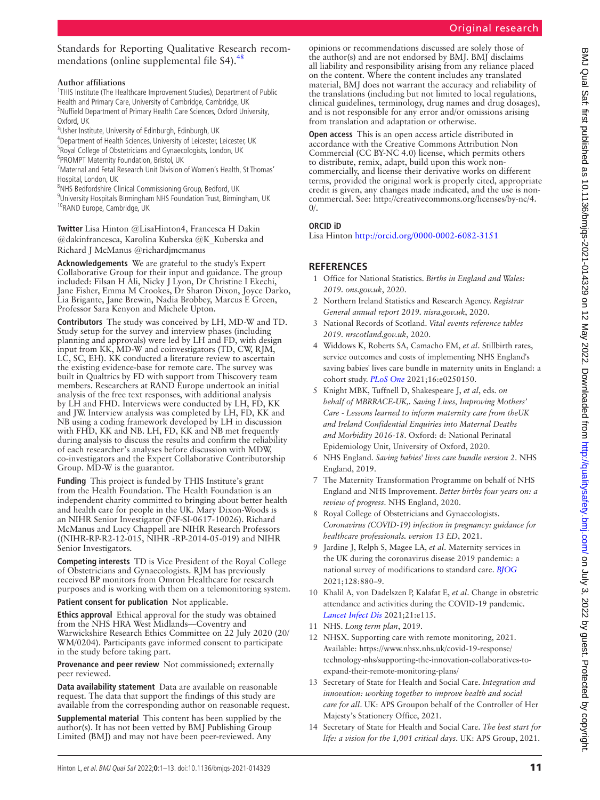Standards for Reporting Qualitative Research recommendations ([online supplemental file S4\)](https://dx.doi.org/10.1136/bmjqs-2021-014329).<sup>[48](#page-11-13)</sup>

#### **Author affiliations**

<sup>1</sup>THIS Institute (The Healthcare Improvement Studies), Department of Public Health and Primary Care, University of Cambridge, Cambridge, UK <sup>2</sup>Nuffield Department of Primary Health Care Sciences, Oxford University, Oxford, UK

<sup>3</sup>Usher Institute, University of Edinburgh, Edinburgh, UK

4 Department of Health Sciences, University of Leicester, Leicester, UK

- <sup>5</sup>Royal College of Obstetricians and Gynaecologists, London, UK
- 6 PROMPT Maternity Foundation, Bristol, UK

7 Maternal and Fetal Research Unit Division of Women's Health, St Thomas' Hospital, London, UK

<sup>8</sup>NHS Bedfordshire Clinical Commissioning Group, Bedford, UK

9 University Hospitals Birmingham NHS Foundation Trust, Birmingham, UK <sup>10</sup>RAND Europe, Cambridge, UK

**Twitter** Lisa Hinton [@LisaHinton4](https://twitter.com/LisaHinton4), Francesca H Dakin [@dakinfrancesca](https://twitter.com/dakinfrancesca), Karolina Kuberska [@K\\_Kuberska](https://twitter.com/K_Kuberska) and Richard J McManus [@richardjmcmanus](https://twitter.com/richardjmcmanus)

**Acknowledgements** We are grateful to the study's Expert Collaborative Group for their input and guidance. The group included: Filsan H Ali, Nicky J Lyon, Dr Christine I Ekechi, Jane Fisher, Emma M Crookes, Dr Sharon Dixon, Joyce Darko, Lia Brigante, Jane Brewin, Nadia Brobbey, Marcus E Green, Professor Sara Kenyon and Michele Upton.

**Contributors** The study was conceived by LH, MD-W and TD. Study setup for the survey and interview phases (including planning and approvals) were led by LH and FD, with design input from KK, MD-W and coinvestigators (TD, CW, RJM, LC, SC, EH). KK conducted a literature review to ascertain the existing evidence-base for remote care. The survey was built in Qualtrics by FD with support from Thiscovery team members. Researchers at RAND Europe undertook an initial analysis of the free text responses, with additional analysis by LH and FHD. Interviews were conducted by LH, FD, KK and JW. Interview analysis was completed by LH, FD, KK and NB using a coding framework developed by LH in discussion with FHD, KK and NB. LH, FD, KK and NB met frequently during analysis to discuss the results and confirm the reliability of each researcher's analyses before discussion with MDW, co-investigators and the Expert Collaborative Contributorship Group. MD-W is the guarantor.

**Funding** This project is funded by THIS Institute's grant from the Health Foundation. The Health Foundation is an independent charity committed to bringing about better health and health care for people in the UK. Mary Dixon-Woods is an NIHR Senior Investigator (NF-SI-0617-10026). Richard McManus and Lucy Chappell are NIHR Research Professors ((NIHR-RP-R2-12-015, NIHR -RP-2014-05-019) and NIHR Senior Investigators.

**Competing interests** TD is Vice President of the Royal College of Obstetricians and Gynaecologists. RJM has previously received BP monitors from Omron Healthcare for research purposes and is working with them on a telemonitoring system.

**Patient consent for publication** Not applicable.

**Ethics approval** Ethical approval for the study was obtained from the NHS HRA West Midlands—Coventry and Warwickshire Research Ethics Committee on 22 July 2020 (20/ WM/0204). Participants gave informed consent to participate in the study before taking part.

**Provenance and peer review** Not commissioned; externally peer reviewed.

**Data availability statement** Data are available on reasonable request. The data that support the findings of this study are available from the corresponding author on reasonable request.

**Supplemental material** This content has been supplied by the author(s). It has not been vetted by BMJ Publishing Group Limited (BMJ) and may not have been peer-reviewed. Any

opinions or recommendations discussed are solely those of the author(s) and are not endorsed by BMJ. BMJ disclaims all liability and responsibility arising from any reliance placed on the content. Where the content includes any translated material, BMJ does not warrant the accuracy and reliability of the translations (including but not limited to local regulations, clinical guidelines, terminology, drug names and drug dosages), and is not responsible for any error and/or omissions arising from translation and adaptation or otherwise.

**Open access** This is an open access article distributed in accordance with the Creative Commons Attribution Non Commercial (CC BY-NC 4.0) license, which permits others to distribute, remix, adapt, build upon this work noncommercially, and license their derivative works on different terms, provided the original work is properly cited, appropriate credit is given, any changes made indicated, and the use is noncommercial. See: [http://creativecommons.org/licenses/by-nc/4.](http://creativecommons.org/licenses/by-nc/4.0/)  $\Omega$ 

# **ORCID iD**

Lisa Hinton<http://orcid.org/0000-0002-6082-3151>

# **REFERENCES**

- <span id="page-10-0"></span>1 Office for National Statistics. *Births in England and Wales: 2019. ons.gov.uk*, 2020.
- 2 Northern Ireland Statistics and Research Agency. *Registrar General annual report 2019. nisra.gov.uk*, 2020.
- 3 National Records of Scotland. *Vital events reference tables 2019. nrscotland.gov.uk*, 2020.
- <span id="page-10-1"></span>4 Widdows K, Roberts SA, Camacho EM, *et al*. Stillbirth rates, service outcomes and costs of implementing NHS England's saving babies' lives care bundle in maternity units in England: a cohort study. *[PLoS One](http://dx.doi.org/10.1371/journal.pone.0250150)* 2021;16:e0250150.
- <span id="page-10-6"></span>5 Knight MBK, Tuffnell D, Shakespeare J, *et al*, eds. *on behalf of MBRRACE-UK,. Saving Lives, Improving Mothers' Care - Lessons learned to inform maternity care from theUK and Ireland Confidential Enquiries into Maternal Deaths and Morbidity 2016-18*. Oxford: d: National Perinatal Epidemiology Unit, University of Oxford, 2020.
- 6 NHS England. *Saving babies' lives care bundle version 2*. NHS England, 2019.
- 7 The Maternity Transformation Programme on behalf of NHS England and NHS Improvement. *Better births four years on: a review of progress*. NHS England, 2020.
- <span id="page-10-2"></span>8 Royal College of Obstetricians and Gynaecologists. *Coronavirus (COVID-19) infection in pregnancy: guidance for healthcare professionals. version 13 ED*, 2021.
- <span id="page-10-3"></span>9 Jardine J, Relph S, Magee LA, *et al*. Maternity services in the UK during the coronavirus disease 2019 pandemic: a national survey of modifications to standard care. *[BJOG](http://dx.doi.org/10.1111/1471-0528.16547)* 2021;128:880–9.
- <span id="page-10-4"></span>10 Khalil A, von Dadelszen P, Kalafat E, *et al*. Change in obstetric attendance and activities during the COVID-19 pandemic. *[Lancet Infect Dis](http://dx.doi.org/10.1016/S1473-3099(20)30779-9)* 2021;21:e115.
- <span id="page-10-5"></span>11 NHS. *Long term plan*, 2019.
- 12 NHSX. Supporting care with remote monitoring, 2021. Available: [https://www.nhsx.nhs.uk/covid-19-response/](https://www.nhsx.nhs.uk/covid-19-response/technology-nhs/supporting-the-innovation-collaboratives-to-expand-their-remote-monitoring-plans/) [technology-nhs/supporting-the-innovation-collaboratives-to](https://www.nhsx.nhs.uk/covid-19-response/technology-nhs/supporting-the-innovation-collaboratives-to-expand-their-remote-monitoring-plans/)[expand-their-remote-monitoring-plans/](https://www.nhsx.nhs.uk/covid-19-response/technology-nhs/supporting-the-innovation-collaboratives-to-expand-their-remote-monitoring-plans/)
- 13 Secretary of State for Health and Social Care. *Integration and innovation: working together to improve health and social care for all*. UK: APS Groupon behalf of the Controller of Her Majesty's Stationery Office, 2021.
- 14 Secretary of State for Health and Social Care. *The best start for life: a vision for the 1,001 critical days*. UK: APS Group, 2021.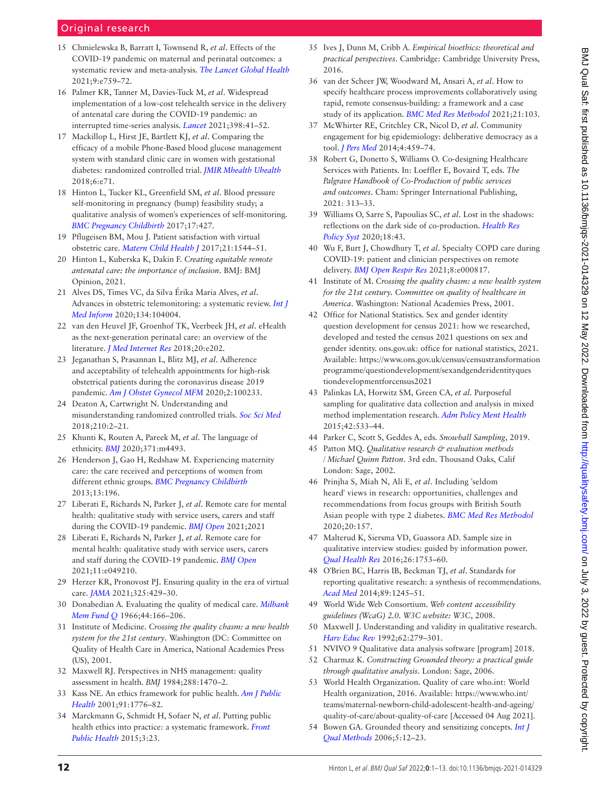# Original research

- <span id="page-11-0"></span>15 Chmielewska B, Barratt I, Townsend R, *et al*. Effects of the COVID-19 pandemic on maternal and perinatal outcomes: a systematic review and meta-analysis. *[The Lancet Global Health](http://dx.doi.org/10.1016/S2214-109X(21)00079-6)* 2021;9:e759–72.
- <span id="page-11-1"></span>16 Palmer KR, Tanner M, Davies-Tuck M, *et al*. Widespread implementation of a low-cost telehealth service in the delivery of antenatal care during the COVID-19 pandemic: an interrupted time-series analysis. *[Lancet](http://dx.doi.org/10.1016/S0140-6736(21)00668-1)* 2021;398:41–52.
- <span id="page-11-2"></span>17 Mackillop L, Hirst JE, Bartlett KJ, *et al*. Comparing the efficacy of a mobile Phone-Based blood glucose management system with standard clinic care in women with gestational diabetes: randomized controlled trial. *[JMIR Mhealth Uhealth](http://dx.doi.org/10.2196/mhealth.9512)* 2018;6:e71.
- 18 Hinton L, Tucker KL, Greenfield SM, *et al*. Blood pressure self-monitoring in pregnancy (bump) feasibility study; a qualitative analysis of women's experiences of self-monitoring. *[BMC Pregnancy Childbirth](http://dx.doi.org/10.1186/s12884-017-1592-1)* 2017;17:427.
- <span id="page-11-3"></span>19 Pflugeisen BM, Mou J. Patient satisfaction with virtual obstetric care. *[Matern Child Health J](http://dx.doi.org/10.1007/s10995-017-2284-1)* 2017;21:1544–51.
- <span id="page-11-4"></span>20 Hinton L, Kuberska K, Dakin F. *Creating equitable remote antenatal care: the importance of inclusion*. BMJ: BMJ Opinion, 2021.
- 21 Alves DS, Times VC, da Silva Érika Maria Alves, *et al*. Advances in obstetric telemonitoring: a systematic review. *[Int J](http://dx.doi.org/10.1016/j.ijmedinf.2019.104004)  [Med Inform](http://dx.doi.org/10.1016/j.ijmedinf.2019.104004)* 2020;134:104004.
- 22 van den Heuvel JF, Groenhof TK, Veerbeek JH, *et al*. eHealth as the next-generation perinatal care: an overview of the literature. *[J Med Internet Res](http://dx.doi.org/10.2196/jmir.9262)* 2018;20:e202.
- 23 Jeganathan S, Prasannan L, Blitz MJ, *et al*. Adherence and acceptability of telehealth appointments for high-risk obstetrical patients during the coronavirus disease 2019 pandemic. *[Am J Obstet Gynecol MFM](http://dx.doi.org/10.1016/j.ajogmf.2020.100233)* 2020;2:100233.
- 24 Deaton A, Cartwright N. Understanding and misunderstanding randomized controlled trials. *[Soc Sci Med](http://dx.doi.org/10.1016/j.socscimed.2017.12.005)* 2018;210:2–21.
- 25 Khunti K, Routen A, Pareek M, *et al*. The language of ethnicity. *[BMJ](http://dx.doi.org/10.1136/bmj.m4493)* 2020;371:m4493.
- 26 Henderson J, Gao H, Redshaw M. Experiencing maternity care: the care received and perceptions of women from different ethnic groups. *[BMC Pregnancy Childbirth](http://dx.doi.org/10.1186/1471-2393-13-196)* 2013;13:196.
- 27 Liberati E, Richards N, Parker J, *et al*. Remote care for mental health: qualitative study with service users, carers and staff during the COVID-19 pandemic. *[BMJ Open](http://dx.doi.org/10.1101/2021.01.18.21250032)* 2021;2021
- 28 Liberati E, Richards N, Parker J, *et al*. Remote care for mental health: qualitative study with service users, carers and staff during the COVID-19 pandemic. *[BMJ Open](http://dx.doi.org/10.1136/bmjopen-2021-049210)* 2021;11:e049210.
- <span id="page-11-5"></span>29 Herzer KR, Pronovost PJ. Ensuring quality in the era of virtual care. *[JAMA](http://dx.doi.org/10.1001/jama.2020.24955)* 2021;325:429–30.
- <span id="page-11-6"></span>30 Donabedian A. Evaluating the quality of medical care. *[Milbank](http://dx.doi.org/10.2307/3348969)  [Mem Fund Q](http://dx.doi.org/10.2307/3348969)* 1966;44:166–206.
- <span id="page-11-19"></span>31 Institute of Medicine. *Crossing the quality chasm: a new health system for the 21st century*. Washington (DC: Committee on Quality of Health Care in America, National Academies Press (US), 2001.
- 32 Maxwell RJ. Perspectives in NHS management: quality assessment in health. *BMJ* 1984;288:1470–2.
- 33 Kass NE. An ethics framework for public health. *[Am J Public](http://dx.doi.org/10.2105/ajph.91.11.1776)  [Health](http://dx.doi.org/10.2105/ajph.91.11.1776)* 2001;91:1776–82.
- 34 Marckmann G, Schmidt H, Sofaer N, *et al*. Putting public health ethics into practice: a systematic framework. *[Front](http://dx.doi.org/10.3389/fpubh.2015.00023)  [Public Health](http://dx.doi.org/10.3389/fpubh.2015.00023)* 2015;3:23.
- 35 Ives J, Dunn M, Cribb A. *Empirical bioethics: theoretical and practical perspectives*. Cambridge: Cambridge University Press, 2016.
- 36 van der Scheer JW, Woodward M, Ansari A, *et al*. How to specify healthcare process improvements collaboratively using rapid, remote consensus-building: a framework and a case study of its application. *[BMC Med Res Methodol](http://dx.doi.org/10.1186/s12874-021-01288-9)* 2021;21:103.
- 37 McWhirter RE, Critchley CR, Nicol D, *et al*. Community engagement for big epidemiology: deliberative democracy as a tool. *[J Pers Med](http://dx.doi.org/10.3390/jpm4040459)* 2014;4:459–74.
- 38 Robert G, Donetto S, Williams O. Co-designing Healthcare Services with Patients. In: Loeffler E, Bovaird T, eds. *The Palgrave Handbook of Co-Production of public services and outcomes*. Cham: Springer International Publishing, 2021: 313–33.
- 39 Williams O, Sarre S, Papoulias SC, *et al*. Lost in the shadows: reflections on the dark side of co-production. *[Health Res](http://dx.doi.org/10.1186/s12961-020-00558-0)  [Policy Syst](http://dx.doi.org/10.1186/s12961-020-00558-0)* 2020;18:43.
- 40 Wu F, Burt J, Chowdhury T, *et al*. Specialty COPD care during COVID-19: patient and clinician perspectives on remote delivery. *[BMJ Open Respir Res](http://dx.doi.org/10.1136/bmjresp-2020-000817)* 2021;8:e000817.
- <span id="page-11-7"></span>41 Institute of M. *Crossing the quality chasm: a new health system for the 21st century. Committee on quality of healthcare in America*. Washington: National Academies Press, 2001.
- <span id="page-11-8"></span>42 Office for National Statistics. Sex and gender identity question development for census 2021: how we researched, developed and tested the census 2021 questions on sex and gender identity. ons.gov.uk: office for national statistics, 2021. Available: [https://www.ons.gov.uk/census/censustransformation](https://www.ons.gov.uk/census/censustransformationprogramme/questiondevelopment/sexandgenderidentityquestiondevelopmentforcensus2021) [programme/questiondevelopment/sexandgenderidentityques](https://www.ons.gov.uk/census/censustransformationprogramme/questiondevelopment/sexandgenderidentityquestiondevelopmentforcensus2021) [tiondevelopmentforcensus2021](https://www.ons.gov.uk/census/censustransformationprogramme/questiondevelopment/sexandgenderidentityquestiondevelopmentforcensus2021)
- <span id="page-11-9"></span>43 Palinkas LA, Horwitz SM, Green CA, *et al*. Purposeful sampling for qualitative data collection and analysis in mixed method implementation research. *[Adm Policy Ment Health](http://dx.doi.org/10.1007/s10488-013-0528-y)* 2015;42:533–44.
- <span id="page-11-10"></span>44 Parker C, Scott S, Geddes A, eds. *Snowball Sampling*, 2019.
- 45 Patton MQ. *Qualitative research & evaluation methods / Michael Quinn Patton*. 3rd edn. Thousand Oaks, Calif London: Sage, 2002.
- <span id="page-11-11"></span>46 Prinjha S, Miah N, Ali E, *et al*. Including 'seldom heard' views in research: opportunities, challenges and recommendations from focus groups with British South Asian people with type 2 diabetes. *[BMC Med Res Methodol](http://dx.doi.org/10.1186/s12874-020-01045-4)* 2020;20:157.
- <span id="page-11-12"></span>47 Malterud K, Siersma VD, Guassora AD. Sample size in qualitative interview studies: guided by information power. *[Qual Health Res](http://dx.doi.org/10.1177/1049732315617444)* 2016;26:1753–60.
- <span id="page-11-13"></span>48 O'Brien BC, Harris IB, Beckman TJ, *et al*. Standards for reporting qualitative research: a synthesis of recommendations. *[Acad Med](http://dx.doi.org/10.1097/ACM.0000000000000388)* 2014;89:1245–51.
- <span id="page-11-14"></span>49 World Wide Web Consortium. *Web content accessibility guidelines (WcaG) 2.0. W3C website: W3C*, 2008.
- <span id="page-11-15"></span>50 Maxwell J. Understanding and validity in qualitative research. *[Harv Educ Rev](http://dx.doi.org/10.17763/haer.62.3.8323320856251826)* 1992;62:279–301.
- <span id="page-11-16"></span>51 NVIVO 9 Qualitative data analysis software [program] 2018.
- <span id="page-11-17"></span>52 Charmaz K. *Constructing Grounded theory: a practical guide through qualitative analysis*. London: Sage, 2006.
- <span id="page-11-20"></span>53 World Health Organization. Quality of care who.int: World Health organization, 2016. Available: [https://www.who.int/](https://www.who.int/teams/maternal-newborn-child-adolescent-health-and-ageing/quality-of-care/about-quality-of-care) [teams/maternal-newborn-child-adolescent-health-and-ageing/](https://www.who.int/teams/maternal-newborn-child-adolescent-health-and-ageing/quality-of-care/about-quality-of-care) [quality-of-care/about-quality-of-care](https://www.who.int/teams/maternal-newborn-child-adolescent-health-and-ageing/quality-of-care/about-quality-of-care) [Accessed 04 Aug 2021].
- <span id="page-11-18"></span>54 Bowen GA. Grounded theory and sensitizing concepts. *[Int J](http://dx.doi.org/10.1177/160940690600500304)  [Qual Methods](http://dx.doi.org/10.1177/160940690600500304)* 2006;5:12–23.